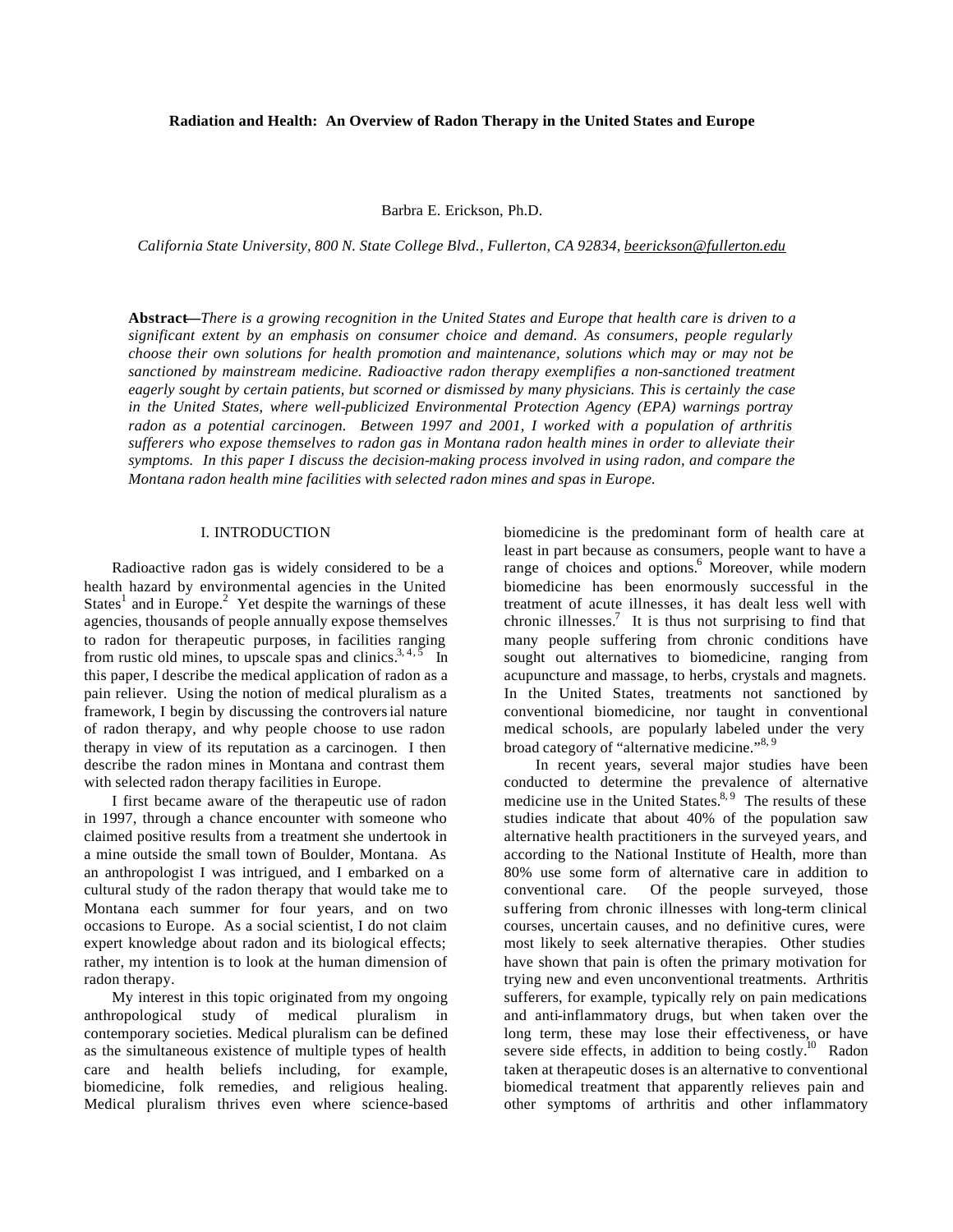## **Radiation and Health: An Overview of Radon Therapy in the United States and Europe**

Barbra E. Erickson, Ph.D.

*California State University, 800 N. State College Blvd., Fullerton, CA 92834, beerickson@fullerton.edu*

**Abstract—***There is a growing recognition in the United States and Europe that health care is driven to a significant extent by an emphasis on consumer choice and demand. As consumers, people regularly choose their own solutions for health promotion and maintenance, solutions which may or may not be sanctioned by mainstream medicine. Radioactive radon therapy exemplifies a non-sanctioned treatment eagerly sought by certain patients, but scorned or dismissed by many physicians. This is certainly the case in the United States, where well-publicized Environmental Protection Agency (EPA) warnings portray radon as a potential carcinogen. Between 1997 and 2001, I worked with a population of arthritis sufferers who expose themselves to radon gas in Montana radon health mines in order to alleviate their symptoms. In this paper I discuss the decision-making process involved in using radon, and compare the Montana radon health mine facilities with selected radon mines and spas in Europe.*

## I. INTRODUCTION

Radioactive radon gas is widely considered to be a health hazard by environmental agencies in the United States<sup>1</sup> and in Europe.<sup>2</sup> Yet despite the warnings of these agencies, thousands of people annually expose themselves to radon for therapeutic purposes, in facilities ranging from rustic old mines, to upscale spas and clinics.<sup>3,4,5</sup> In this paper, I describe the medical application of radon as a pain reliever. Using the notion of medical pluralism as a framework, I begin by discussing the controversial nature of radon therapy, and why people choose to use radon therapy in view of its reputation as a carcinogen. I then describe the radon mines in Montana and contrast them with selected radon therapy facilities in Europe.

I first became aware of the therapeutic use of radon in 1997, through a chance encounter with someone who claimed positive results from a treatment she undertook in a mine outside the small town of Boulder, Montana. As an anthropologist I was intrigued, and I embarked on a cultural study of the radon therapy that would take me to Montana each summer for four years, and on two occasions to Europe. As a social scientist, I do not claim expert knowledge about radon and its biological effects; rather, my intention is to look at the human dimension of radon therapy.

My interest in this topic originated from my ongoing anthropological study of medical pluralism in contemporary societies. Medical pluralism can be defined as the simultaneous existence of multiple types of health care and health beliefs including, for example, biomedicine, folk remedies, and religious healing. Medical pluralism thrives even where science-based biomedicine is the predominant form of health care at least in part because as consumers, people want to have a range of choices and options.<sup>6</sup> Moreover, while modern biomedicine has been enormously successful in the treatment of acute illnesses, it has dealt less well with chronic illnesses.<sup>7</sup> It is thus not surprising to find that many people suffering from chronic conditions have sought out alternatives to biomedicine, ranging from acupuncture and massage, to herbs, crystals and magnets. In the United States, treatments not sanctioned by conventional biomedicine, nor taught in conventional medical schools, are popularly labeled under the very broad category of "alternative medicine."<sup>8, 9</sup>

 In recent years, several major studies have been conducted to determine the prevalence of alternative medicine use in the United States. $8,9$  The results of these studies indicate that about 40% of the population saw alternative health practitioners in the surveyed years, and according to the National Institute of Health, more than 80% use some form of alternative care in addition to conventional care. Of the people surveyed, those suffering from chronic illnesses with long-term clinical courses, uncertain causes, and no definitive cures, were most likely to seek alternative therapies. Other studies have shown that pain is often the primary motivation for trying new and even unconventional treatments. Arthritis sufferers, for example, typically rely on pain medications and anti-inflammatory drugs, but when taken over the long term, these may lose their effectiveness, or have severe side effects, in addition to being costly.<sup>10</sup> Radon taken at therapeutic doses is an alternative to conventional biomedical treatment that apparently relieves pain and other symptoms of arthritis and other inflammatory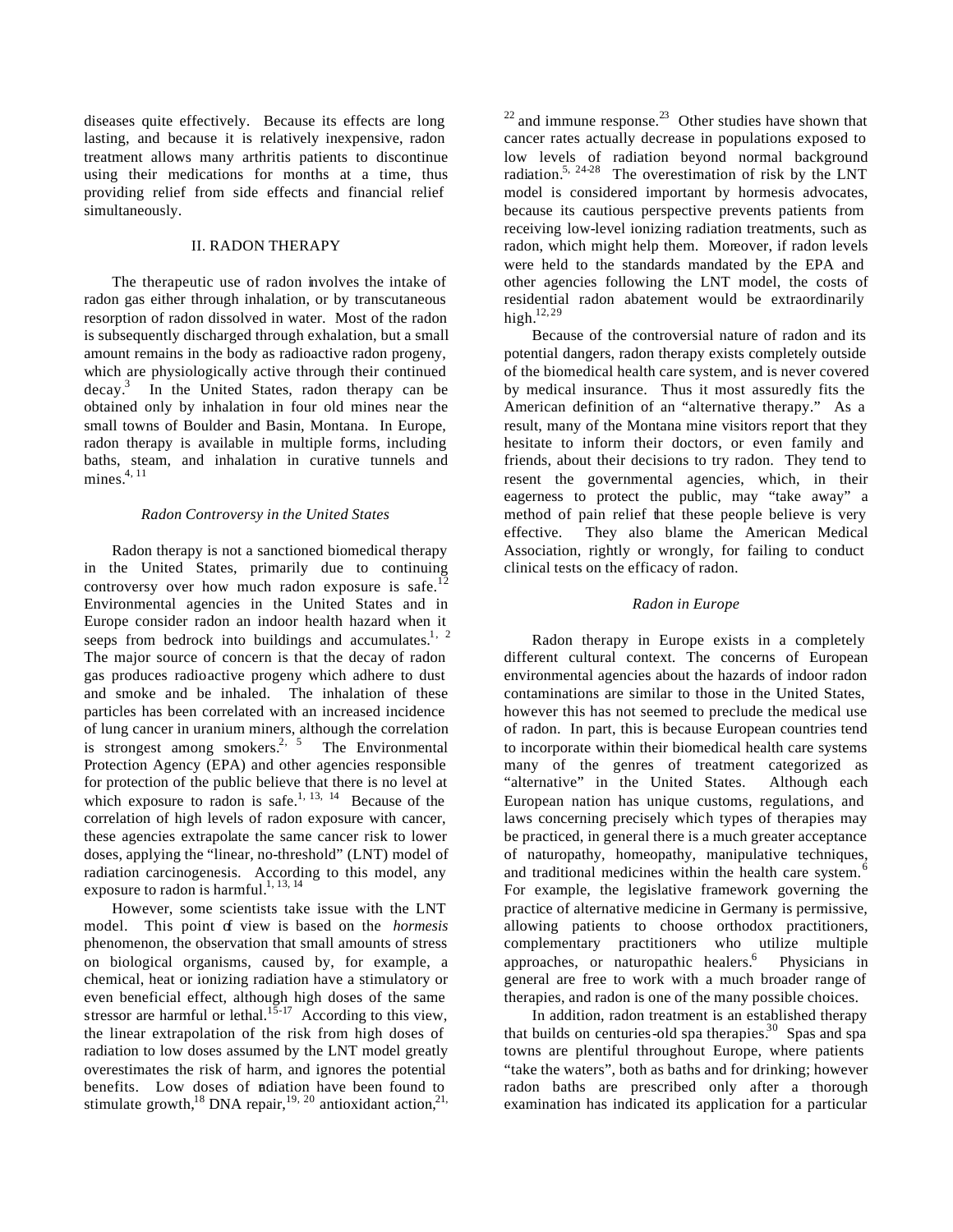diseases quite effectively. Because its effects are long lasting, and because it is relatively inexpensive, radon treatment allows many arthritis patients to discontinue using their medications for months at a time, thus providing relief from side effects and financial relief simultaneously.

### II. RADON THERAPY

The therapeutic use of radon involves the intake of radon gas either through inhalation, or by transcutaneous resorption of radon dissolved in water. Most of the radon is subsequently discharged through exhalation, but a small amount remains in the body as radioactive radon progeny, which are physiologically active through their continued decay.<sup>3</sup> In the United States, radon therapy can be obtained only by inhalation in four old mines near the small towns of Boulder and Basin, Montana. In Europe, radon therapy is available in multiple forms, including baths, steam, and inhalation in curative tunnels and mines. $4, 11$ 

# *Radon Controversy in the United States*

Radon therapy is not a sanctioned biomedical therapy in the United States, primarily due to continuing controversy over how much radon exposure is safe.<sup>12</sup> Environmental agencies in the United States and in Europe consider radon an indoor health hazard when it seeps from bedrock into buildings and accumulates.<sup>1, 2</sup> The major source of concern is that the decay of radon gas produces radioactive progeny which adhere to dust and smoke and be inhaled. The inhalation of these particles has been correlated with an increased incidence of lung cancer in uranium miners, although the correlation is strongest among smokers.<sup>2, 5</sup> The Environmental Protection Agency (EPA) and other agencies responsible for protection of the public believe that there is no level at which exposure to radon is safe.<sup>1, 13, 14</sup> Because of the correlation of high levels of radon exposure with cancer, these agencies extrapolate the same cancer risk to lower doses, applying the "linear, no-threshold" (LNT) model of radiation carcinogenesis. According to this model, any exposure to radon is harmful.<sup>1, 13, 14</sup>

However, some scientists take issue with the LNT model. This point of view is based on the *hormesis* phenomenon, the observation that small amounts of stress on biological organisms, caused by, for example, a chemical, heat or ionizing radiation have a stimulatory or even beneficial effect, although high doses of the same stressor are harmful or lethal.<sup>15-17</sup> According to this view, the linear extrapolation of the risk from high doses of radiation to low doses assumed by the LNT model greatly overestimates the risk of harm, and ignores the potential benefits. Low doses of ndiation have been found to stimulate growth,<sup>18</sup> DNA repair,<sup>19, 20</sup> antioxidant action,<sup>21,</sup>

 $22$  and immune response.<sup>23</sup> Other studies have shown that cancer rates actually decrease in populations exposed to low levels of radiation beyond normal background radiation.<sup>5, 24-28</sup> The overestimation of risk by the LNT model is considered important by hormesis advocates, because its cautious perspective prevents patients from receiving low-level ionizing radiation treatments, such as radon, which might help them. Moreover, if radon levels were held to the standards mandated by the EPA and other agencies following the LNT model, the costs of residential radon abatement would be extraordinarily high.<sup>12,29</sup>

Because of the controversial nature of radon and its potential dangers, radon therapy exists completely outside of the biomedical health care system, and is never covered by medical insurance. Thus it most assuredly fits the American definition of an "alternative therapy." As a result, many of the Montana mine visitors report that they hesitate to inform their doctors, or even family and friends, about their decisions to try radon. They tend to resent the governmental agencies, which, in their eagerness to protect the public, may "take away" a method of pain relief that these people believe is very effective. They also blame the American Medical Association, rightly or wrongly, for failing to conduct clinical tests on the efficacy of radon.

# *Radon in Europe*

Radon therapy in Europe exists in a completely different cultural context. The concerns of European environmental agencies about the hazards of indoor radon contaminations are similar to those in the United States, however this has not seemed to preclude the medical use of radon. In part, this is because European countries tend to incorporate within their biomedical health care systems many of the genres of treatment categorized as "alternative" in the United States. Although each European nation has unique customs, regulations, and laws concerning precisely which types of therapies may be practiced, in general there is a much greater acceptance of naturopathy, homeopathy, manipulative techniques, and traditional medicines within the health care system.<sup>6</sup> For example, the legislative framework governing the practice of alternative medicine in Germany is permissive, allowing patients to choose orthodox practitioners, complementary practitioners who utilize multiple approaches, or naturopathic healers.<sup>6</sup> Physicians in general are free to work with a much broader range of therapies, and radon is one of the many possible choices.

In addition, radon treatment is an established therapy that builds on centuries-old spa therapies.<sup>30</sup> Spas and spa towns are plentiful throughout Europe, where patients "take the waters", both as baths and for drinking; however radon baths are prescribed only after a thorough examination has indicated its application for a particular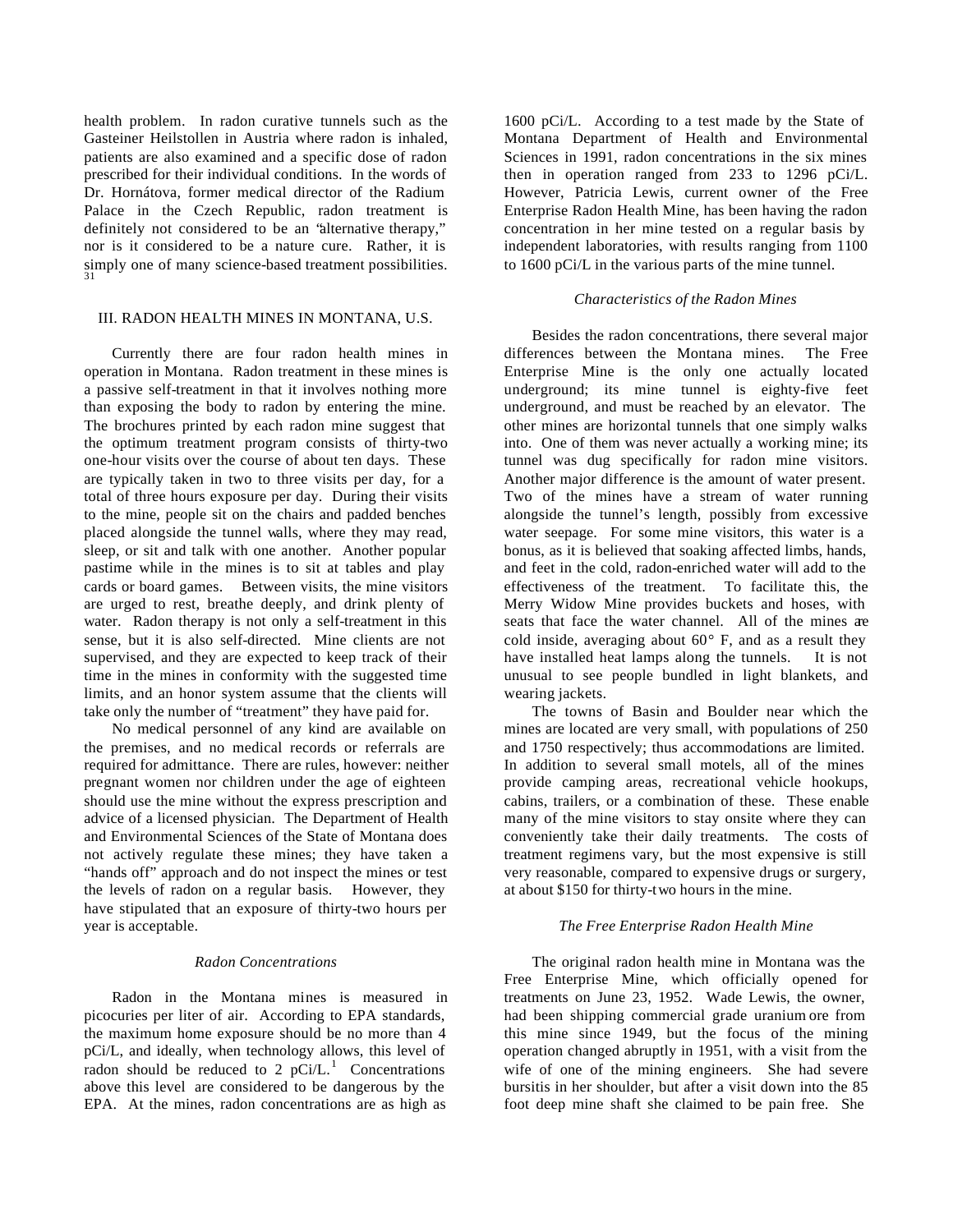health problem. In radon curative tunnels such as the Gasteiner Heilstollen in Austria where radon is inhaled, patients are also examined and a specific dose of radon prescribed for their individual conditions. In the words of Dr. Hornátova, former medical director of the Radium Palace in the Czech Republic, radon treatment is definitely not considered to be an "alternative therapy," nor is it considered to be a nature cure. Rather, it is simply one of many science-based treatment possibilities. 31

# III. RADON HEALTH MINES IN MONTANA, U.S.

Currently there are four radon health mines in operation in Montana. Radon treatment in these mines is a passive self-treatment in that it involves nothing more than exposing the body to radon by entering the mine. The brochures printed by each radon mine suggest that the optimum treatment program consists of thirty-two one-hour visits over the course of about ten days. These are typically taken in two to three visits per day, for a total of three hours exposure per day. During their visits to the mine, people sit on the chairs and padded benches placed alongside the tunnel walls, where they may read, sleep, or sit and talk with one another. Another popular pastime while in the mines is to sit at tables and play cards or board games. Between visits, the mine visitors are urged to rest, breathe deeply, and drink plenty of water. Radon therapy is not only a self-treatment in this sense, but it is also self-directed. Mine clients are not supervised, and they are expected to keep track of their time in the mines in conformity with the suggested time limits, and an honor system assume that the clients will take only the number of "treatment" they have paid for.

No medical personnel of any kind are available on the premises, and no medical records or referrals are required for admittance. There are rules, however: neither pregnant women nor children under the age of eighteen should use the mine without the express prescription and advice of a licensed physician. The Department of Health and Environmental Sciences of the State of Montana does not actively regulate these mines; they have taken a "hands off" approach and do not inspect the mines or test the levels of radon on a regular basis. However, they have stipulated that an exposure of thirty-two hours per year is acceptable.

## *Radon Concentrations*

Radon in the Montana mines is measured in picocuries per liter of air. According to EPA standards, the maximum home exposure should be no more than 4 pCi/L, and ideally, when technology allows, this level of radon should be reduced to 2  $pCi/L$ .<sup>1</sup> Concentrations above this level are considered to be dangerous by the EPA. At the mines, radon concentrations are as high as

1600 pCi/L. According to a test made by the State of Montana Department of Health and Environmental Sciences in 1991, radon concentrations in the six mines then in operation ranged from 233 to 1296 pCi/L. However, Patricia Lewis, current owner of the Free Enterprise Radon Health Mine, has been having the radon concentration in her mine tested on a regular basis by independent laboratories, with results ranging from 1100 to 1600 pCi/L in the various parts of the mine tunnel.

### *Characteristics of the Radon Mines*

Besides the radon concentrations, there several major differences between the Montana mines. The Free Enterprise Mine is the only one actually located underground; its mine tunnel is eighty-five feet underground, and must be reached by an elevator. The other mines are horizontal tunnels that one simply walks into. One of them was never actually a working mine; its tunnel was dug specifically for radon mine visitors. Another major difference is the amount of water present. Two of the mines have a stream of water running alongside the tunnel's length, possibly from excessive water seepage. For some mine visitors, this water is a bonus, as it is believed that soaking affected limbs, hands, and feet in the cold, radon-enriched water will add to the effectiveness of the treatment. To facilitate this, the Merry Widow Mine provides buckets and hoses, with seats that face the water channel. All of the mines are cold inside, averaging about  $60^{\circ}$  F, and as a result they have installed heat lamps along the tunnels. It is not unusual to see people bundled in light blankets, and wearing jackets.

The towns of Basin and Boulder near which the mines are located are very small, with populations of 250 and 1750 respectively; thus accommodations are limited. In addition to several small motels, all of the mines provide camping areas, recreational vehicle hookups, cabins, trailers, or a combination of these. These enable many of the mine visitors to stay onsite where they can conveniently take their daily treatments. The costs of treatment regimens vary, but the most expensive is still very reasonable, compared to expensive drugs or surgery, at about \$150 for thirty-two hours in the mine.

#### *The Free Enterprise Radon Health Mine*

The original radon health mine in Montana was the Free Enterprise Mine, which officially opened for treatments on June 23, 1952. Wade Lewis, the owner, had been shipping commercial grade uranium ore from this mine since 1949, but the focus of the mining operation changed abruptly in 1951, with a visit from the wife of one of the mining engineers. She had severe bursitis in her shoulder, but after a visit down into the 85 foot deep mine shaft she claimed to be pain free. She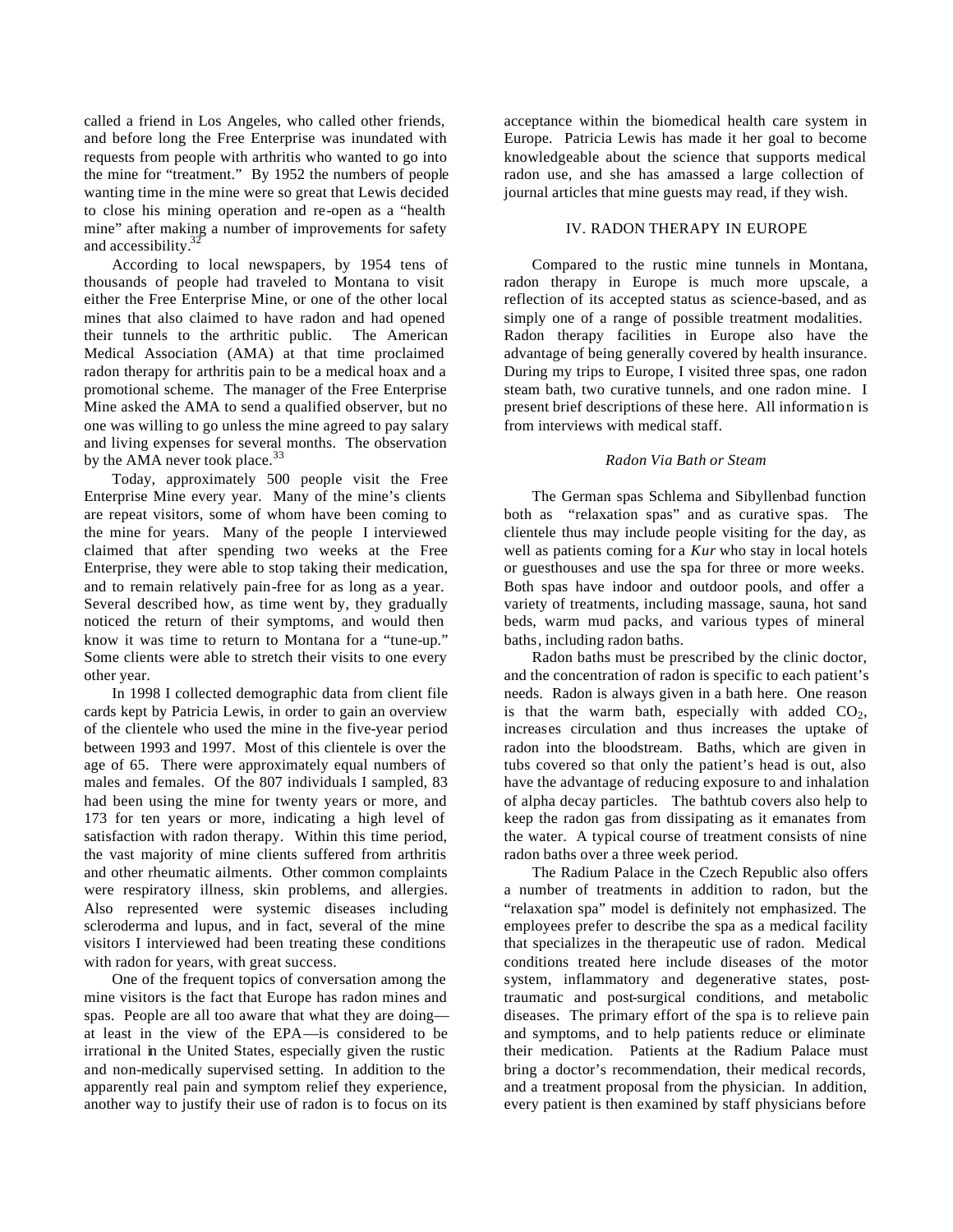called a friend in Los Angeles, who called other friends, and before long the Free Enterprise was inundated with requests from people with arthritis who wanted to go into the mine for "treatment." By 1952 the numbers of people wanting time in the mine were so great that Lewis decided to close his mining operation and re-open as a "health mine" after making a number of improvements for safety and accessibility.<sup>3</sup>

According to local newspapers, by 1954 tens of thousands of people had traveled to Montana to visit either the Free Enterprise Mine, or one of the other local mines that also claimed to have radon and had opened their tunnels to the arthritic public. The American Medical Association (AMA) at that time proclaimed radon therapy for arthritis pain to be a medical hoax and a promotional scheme. The manager of the Free Enterprise Mine asked the AMA to send a qualified observer, but no one was willing to go unless the mine agreed to pay salary and living expenses for several months. The observation by the AMA never took place.<sup>33</sup>

Today, approximately 500 people visit the Free Enterprise Mine every year. Many of the mine's clients are repeat visitors, some of whom have been coming to the mine for years. Many of the people I interviewed claimed that after spending two weeks at the Free Enterprise, they were able to stop taking their medication, and to remain relatively pain-free for as long as a year. Several described how, as time went by, they gradually noticed the return of their symptoms, and would then know it was time to return to Montana for a "tune-up." Some clients were able to stretch their visits to one every other year.

In 1998 I collected demographic data from client file cards kept by Patricia Lewis, in order to gain an overview of the clientele who used the mine in the five-year period between 1993 and 1997. Most of this clientele is over the age of 65. There were approximately equal numbers of males and females. Of the 807 individuals I sampled, 83 had been using the mine for twenty years or more, and 173 for ten years or more, indicating a high level of satisfaction with radon therapy. Within this time period, the vast majority of mine clients suffered from arthritis and other rheumatic ailments. Other common complaints were respiratory illness, skin problems, and allergies. Also represented were systemic diseases including scleroderma and lupus, and in fact, several of the mine visitors I interviewed had been treating these conditions with radon for years, with great success.

One of the frequent topics of conversation among the mine visitors is the fact that Europe has radon mines and spas. People are all too aware that what they are doing at least in the view of the EPA—is considered to be irrational in the United States, especially given the rustic and non-medically supervised setting. In addition to the apparently real pain and symptom relief they experience, another way to justify their use of radon is to focus on its

acceptance within the biomedical health care system in Europe. Patricia Lewis has made it her goal to become knowledgeable about the science that supports medical radon use, and she has amassed a large collection of journal articles that mine guests may read, if they wish.

## IV. RADON THERAPY IN EUROPE

Compared to the rustic mine tunnels in Montana, radon therapy in Europe is much more upscale, a reflection of its accepted status as science-based, and as simply one of a range of possible treatment modalities. Radon therapy facilities in Europe also have the advantage of being generally covered by health insurance. During my trips to Europe, I visited three spas, one radon steam bath, two curative tunnels, and one radon mine. I present brief descriptions of these here. All information is from interviews with medical staff.

## *Radon Via Bath or Steam*

The German spas Schlema and Sibyllenbad function both as "relaxation spas" and as curative spas. The clientele thus may include people visiting for the day, as well as patients coming for a *Kur* who stay in local hotels or guesthouses and use the spa for three or more weeks. Both spas have indoor and outdoor pools, and offer a variety of treatments, including massage, sauna, hot sand beds, warm mud packs, and various types of mineral baths, including radon baths.

Radon baths must be prescribed by the clinic doctor, and the concentration of radon is specific to each patient's needs. Radon is always given in a bath here. One reason is that the warm bath, especially with added  $CO<sub>2</sub>$ , increases circulation and thus increases the uptake of radon into the bloodstream. Baths, which are given in tubs covered so that only the patient's head is out, also have the advantage of reducing exposure to and inhalation of alpha decay particles. The bathtub covers also help to keep the radon gas from dissipating as it emanates from the water. A typical course of treatment consists of nine radon baths over a three week period.

The Radium Palace in the Czech Republic also offers a number of treatments in addition to radon, but the "relaxation spa" model is definitely not emphasized. The employees prefer to describe the spa as a medical facility that specializes in the therapeutic use of radon. Medical conditions treated here include diseases of the motor system, inflammatory and degenerative states, posttraumatic and post-surgical conditions, and metabolic diseases. The primary effort of the spa is to relieve pain and symptoms, and to help patients reduce or eliminate their medication. Patients at the Radium Palace must bring a doctor's recommendation, their medical records, and a treatment proposal from the physician. In addition, every patient is then examined by staff physicians before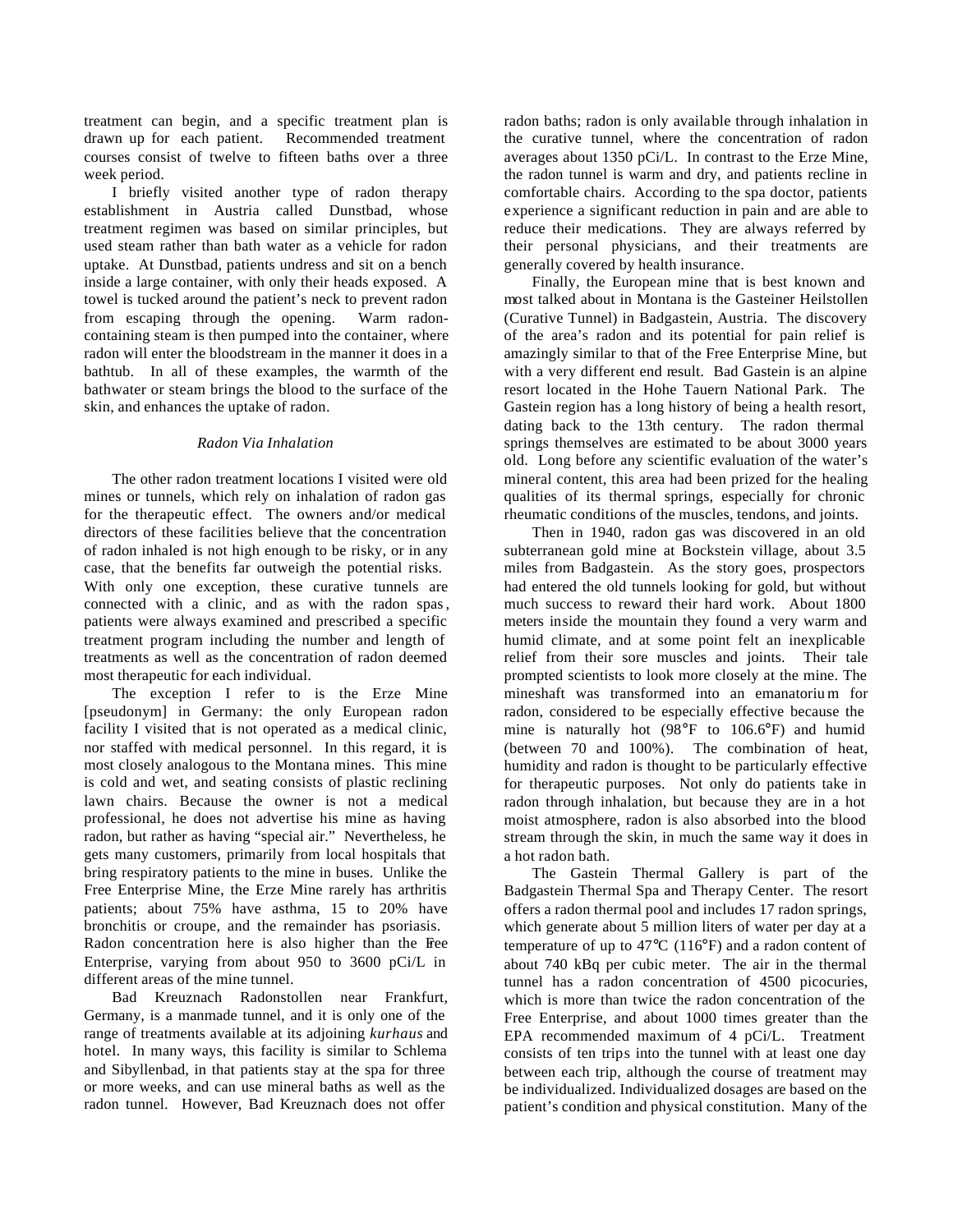treatment can begin, and a specific treatment plan is drawn up for each patient. Recommended treatment courses consist of twelve to fifteen baths over a three week period.

I briefly visited another type of radon therapy establishment in Austria called Dunstbad, whose treatment regimen was based on similar principles, but used steam rather than bath water as a vehicle for radon uptake. At Dunstbad, patients undress and sit on a bench inside a large container, with only their heads exposed. A towel is tucked around the patient's neck to prevent radon from escaping through the opening. Warm radoncontaining steam is then pumped into the container, where radon will enter the bloodstream in the manner it does in a bathtub. In all of these examples, the warmth of the bathwater or steam brings the blood to the surface of the skin, and enhances the uptake of radon.

## *Radon Via Inhalation*

The other radon treatment locations I visited were old mines or tunnels, which rely on inhalation of radon gas for the therapeutic effect. The owners and/or medical directors of these facilities believe that the concentration of radon inhaled is not high enough to be risky, or in any case, that the benefits far outweigh the potential risks. With only one exception, these curative tunnels are connected with a clinic, and as with the radon spas, patients were always examined and prescribed a specific treatment program including the number and length of treatments as well as the concentration of radon deemed most therapeutic for each individual.

The exception I refer to is the Erze Mine [pseudonym] in Germany: the only European radon facility I visited that is not operated as a medical clinic, nor staffed with medical personnel. In this regard, it is most closely analogous to the Montana mines. This mine is cold and wet, and seating consists of plastic reclining lawn chairs. Because the owner is not a medical professional, he does not advertise his mine as having radon, but rather as having "special air." Nevertheless, he gets many customers, primarily from local hospitals that bring respiratory patients to the mine in buses. Unlike the Free Enterprise Mine, the Erze Mine rarely has arthritis patients; about 75% have asthma, 15 to 20% have bronchitis or croupe, and the remainder has psoriasis. Radon concentration here is also higher than the Free Enterprise, varying from about 950 to 3600 pCi/L in different areas of the mine tunnel.

Bad Kreuznach Radonstollen near Frankfurt, Germany, is a manmade tunnel, and it is only one of the range of treatments available at its adjoining *kurhaus* and hotel. In many ways, this facility is similar to Schlema and Sibyllenbad, in that patients stay at the spa for three or more weeks, and can use mineral baths as well as the radon tunnel. However, Bad Kreuznach does not offer

radon baths; radon is only available through inhalation in the curative tunnel, where the concentration of radon averages about 1350 pCi/L. In contrast to the Erze Mine, the radon tunnel is warm and dry, and patients recline in comfortable chairs. According to the spa doctor, patients experience a significant reduction in pain and are able to reduce their medications. They are always referred by their personal physicians, and their treatments are generally covered by health insurance.

Finally, the European mine that is best known and most talked about in Montana is the Gasteiner Heilstollen (Curative Tunnel) in Badgastein, Austria. The discovery of the area's radon and its potential for pain relief is amazingly similar to that of the Free Enterprise Mine, but with a very different end result. Bad Gastein is an alpine resort located in the Hohe Tauern National Park. The Gastein region has a long history of being a health resort, dating back to the 13th century. The radon thermal springs themselves are estimated to be about 3000 years old. Long before any scientific evaluation of the water's mineral content, this area had been prized for the healing qualities of its thermal springs, especially for chronic rheumatic conditions of the muscles, tendons, and joints.

Then in 1940, radon gas was discovered in an old subterranean gold mine at Bockstein village, about 3.5 miles from Badgastein. As the story goes, prospectors had entered the old tunnels looking for gold, but without much success to reward their hard work. About 1800 meters inside the mountain they found a very warm and humid climate, and at some point felt an inexplicable relief from their sore muscles and joints. Their tale prompted scientists to look more closely at the mine. The mineshaft was transformed into an emanatoriu m for radon, considered to be especially effective because the mine is naturally hot (98°F to 106.6°F) and humid (between 70 and 100%). The combination of heat, humidity and radon is thought to be particularly effective for therapeutic purposes. Not only do patients take in radon through inhalation, but because they are in a hot moist atmosphere, radon is also absorbed into the blood stream through the skin, in much the same way it does in a hot radon bath.

The Gastein Thermal Gallery is part of the Badgastein Thermal Spa and Therapy Center. The resort offers a radon thermal pool and includes 17 radon springs, which generate about 5 million liters of water per day at a temperature of up to  $47^{\circ}$ C (116 $^{\circ}$ F) and a radon content of about 740 kBq per cubic meter. The air in the thermal tunnel has a radon concentration of 4500 picocuries, which is more than twice the radon concentration of the Free Enterprise, and about 1000 times greater than the EPA recommended maximum of 4 pCi/L. Treatment consists of ten trips into the tunnel with at least one day between each trip, although the course of treatment may be individualized. Individualized dosages are based on the patient's condition and physical constitution. Many of the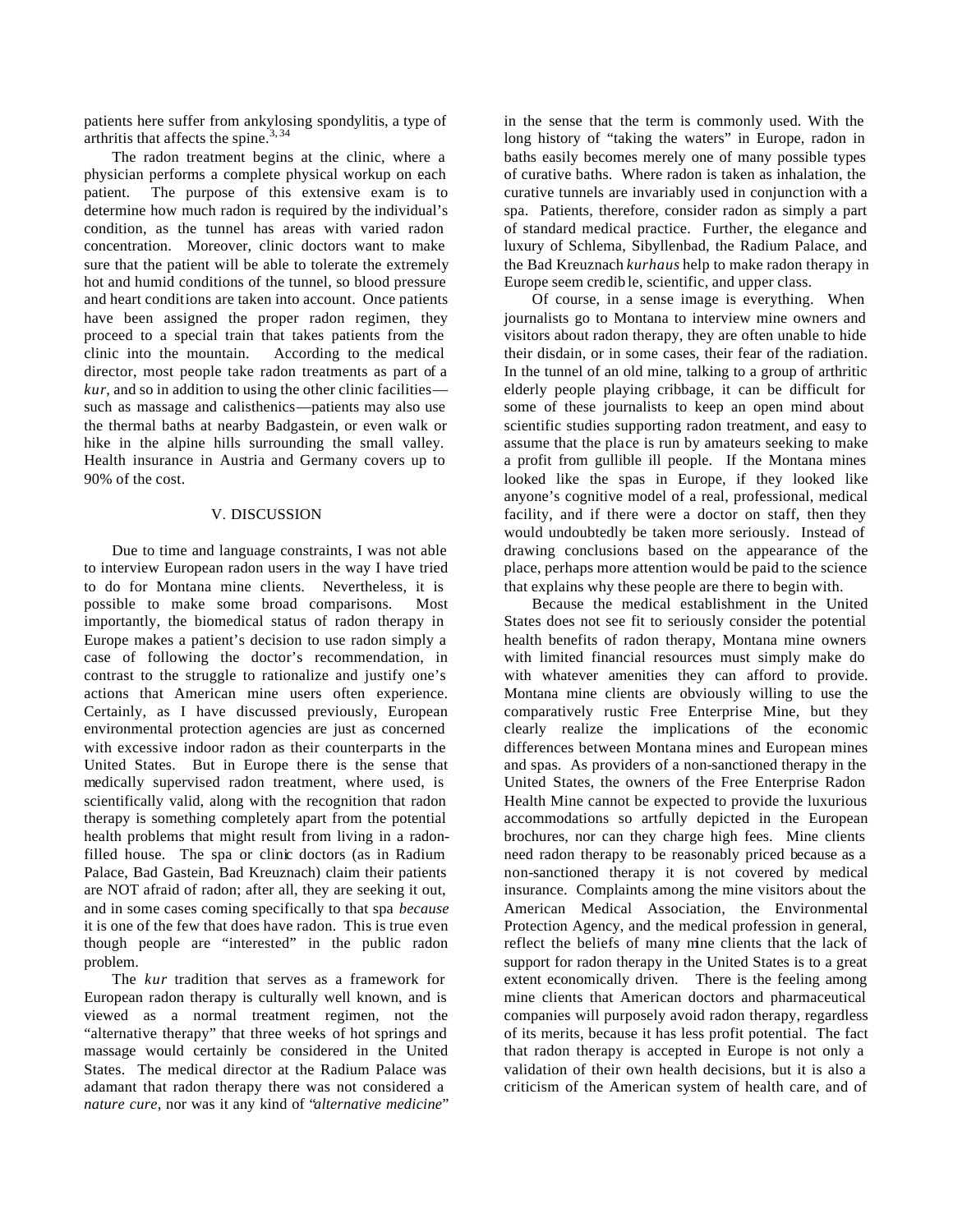patients here suffer from ankylosing spondylitis, a type of arthritis that affects the spine. $3,34$ 

The radon treatment begins at the clinic, where a physician performs a complete physical workup on each patient. The purpose of this extensive exam is to determine how much radon is required by the individual's condition, as the tunnel has areas with varied radon concentration. Moreover, clinic doctors want to make sure that the patient will be able to tolerate the extremely hot and humid conditions of the tunnel, so blood pressure and heart conditions are taken into account. Once patients have been assigned the proper radon regimen, they proceed to a special train that takes patients from the clinic into the mountain. According to the medical director, most people take radon treatments as part of a *kur*, and so in addition to using the other clinic facilities such as massage and calisthenics—patients may also use the thermal baths at nearby Badgastein, or even walk or hike in the alpine hills surrounding the small valley. Health insurance in Austria and Germany covers up to 90% of the cost.

## V. DISCUSSION

Due to time and language constraints, I was not able to interview European radon users in the way I have tried to do for Montana mine clients. Nevertheless, it is possible to make some broad comparisons. Most importantly, the biomedical status of radon therapy in Europe makes a patient's decision to use radon simply a case of following the doctor's recommendation, in contrast to the struggle to rationalize and justify one's actions that American mine users often experience. Certainly, as I have discussed previously, European environmental protection agencies are just as concerned with excessive indoor radon as their counterparts in the United States. But in Europe there is the sense that medically supervised radon treatment, where used, is scientifically valid, along with the recognition that radon therapy is something completely apart from the potential health problems that might result from living in a radonfilled house. The spa or clinic doctors (as in Radium Palace, Bad Gastein, Bad Kreuznach) claim their patients are NOT afraid of radon; after all, they are seeking it out, and in some cases coming specifically to that spa *because* it is one of the few that does have radon. This is true even though people are "interested" in the public radon problem.

The *kur* tradition that serves as a framework for European radon therapy is culturally well known, and is viewed as a normal treatment regimen, not the "alternative therapy" that three weeks of hot springs and massage would certainly be considered in the United States. The medical director at the Radium Palace was adamant that radon therapy there was not considered a *nature cure*, nor was it any kind of "*alternative medicine*" in the sense that the term is commonly used. With the long history of "taking the waters" in Europe, radon in baths easily becomes merely one of many possible types of curative baths. Where radon is taken as inhalation, the curative tunnels are invariably used in conjunction with a spa. Patients, therefore, consider radon as simply a part of standard medical practice. Further, the elegance and luxury of Schlema, Sibyllenbad, the Radium Palace, and the Bad Kreuznach *kurhaus* help to make radon therapy in Europe seem credib le, scientific, and upper class.

Of course, in a sense image is everything. When journalists go to Montana to interview mine owners and visitors about radon therapy, they are often unable to hide their disdain, or in some cases, their fear of the radiation. In the tunnel of an old mine, talking to a group of arthritic elderly people playing cribbage, it can be difficult for some of these journalists to keep an open mind about scientific studies supporting radon treatment, and easy to assume that the place is run by amateurs seeking to make a profit from gullible ill people. If the Montana mines looked like the spas in Europe, if they looked like anyone's cognitive model of a real, professional, medical facility, and if there were a doctor on staff, then they would undoubtedly be taken more seriously. Instead of drawing conclusions based on the appearance of the place, perhaps more attention would be paid to the science that explains why these people are there to begin with.

Because the medical establishment in the United States does not see fit to seriously consider the potential health benefits of radon therapy, Montana mine owners with limited financial resources must simply make do with whatever amenities they can afford to provide. Montana mine clients are obviously willing to use the comparatively rustic Free Enterprise Mine, but they clearly realize the implications of the economic differences between Montana mines and European mines and spas. As providers of a non-sanctioned therapy in the United States, the owners of the Free Enterprise Radon Health Mine cannot be expected to provide the luxurious accommodations so artfully depicted in the European brochures, nor can they charge high fees. Mine clients need radon therapy to be reasonably priced because as a non-sanctioned therapy it is not covered by medical insurance. Complaints among the mine visitors about the American Medical Association, the Environmental Protection Agency, and the medical profession in general, reflect the beliefs of many mine clients that the lack of support for radon therapy in the United States is to a great extent economically driven. There is the feeling among mine clients that American doctors and pharmaceutical companies will purposely avoid radon therapy, regardless of its merits, because it has less profit potential. The fact that radon therapy is accepted in Europe is not only a validation of their own health decisions, but it is also a criticism of the American system of health care, and of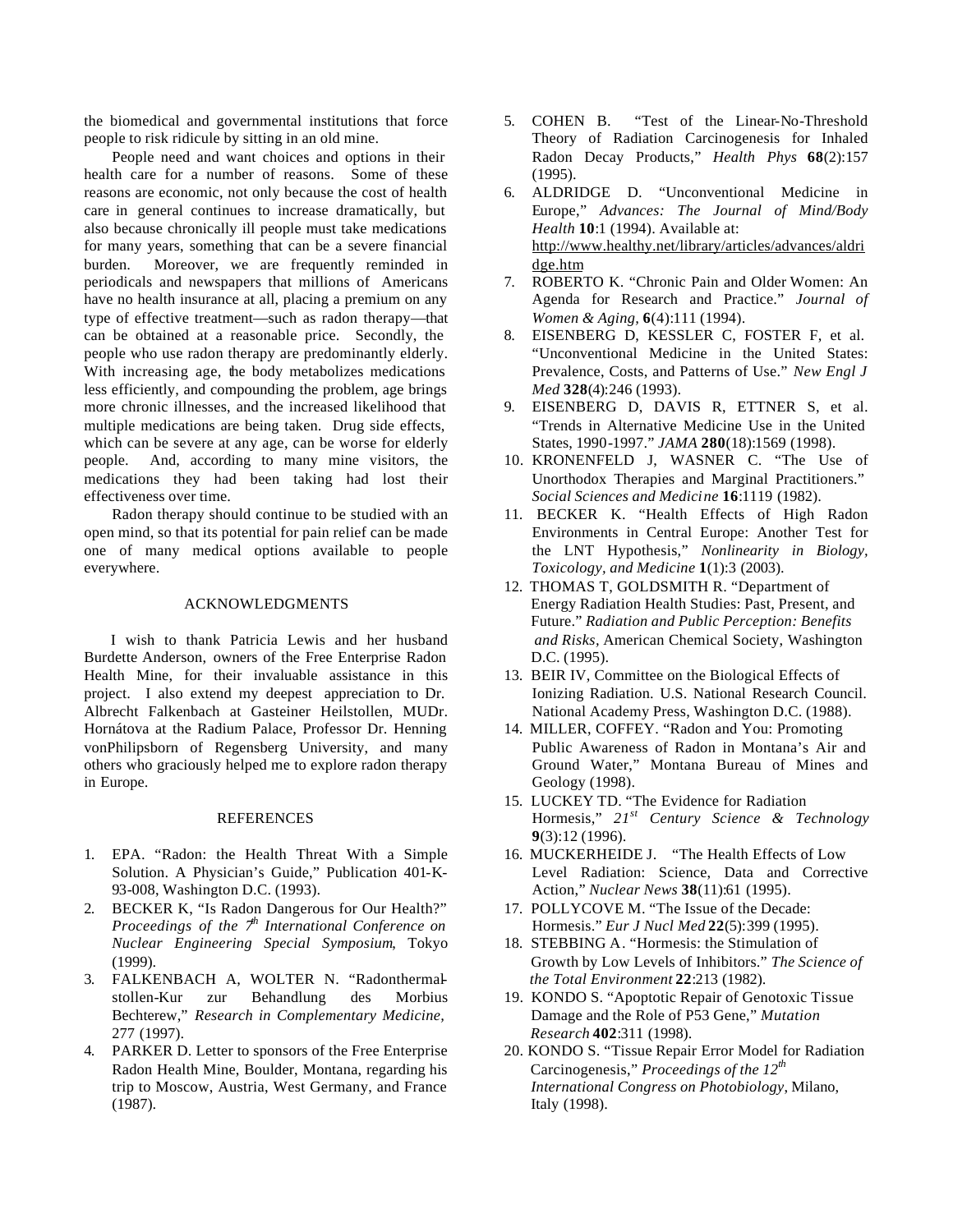the biomedical and governmental institutions that force people to risk ridicule by sitting in an old mine.

People need and want choices and options in their health care for a number of reasons. Some of these reasons are economic, not only because the cost of health care in general continues to increase dramatically, but also because chronically ill people must take medications for many years, something that can be a severe financial burden. Moreover, we are frequently reminded in periodicals and newspapers that millions of Americans have no health insurance at all, placing a premium on any type of effective treatment—such as radon therapy—that can be obtained at a reasonable price. Secondly, the people who use radon therapy are predominantly elderly. With increasing age, the body metabolizes medications less efficiently, and compounding the problem, age brings more chronic illnesses, and the increased likelihood that multiple medications are being taken. Drug side effects, which can be severe at any age, can be worse for elderly people. And, according to many mine visitors, the medications they had been taking had lost their effectiveness over time.

Radon therapy should continue to be studied with an open mind, so that its potential for pain relief can be made one of many medical options available to people everywhere.

### ACKNOWLEDGMENTS

I wish to thank Patricia Lewis and her husband Burdette Anderson, owners of the Free Enterprise Radon Health Mine, for their invaluable assistance in this project. I also extend my deepest appreciation to Dr. Albrecht Falkenbach at Gasteiner Heilstollen, MUDr. Hornátova at the Radium Palace, Professor Dr. Henning vonPhilipsborn of Regensberg University, and many others who graciously helped me to explore radon therapy in Europe.

## REFERENCES

- 1. EPA. "Radon: the Health Threat With a Simple Solution. A Physician's Guide," Publication 401-K-93-008, Washington D.C. (1993).
- 2. BECKER K, "Is Radon Dangerous for Our Health?" *Proceedings of the 7th International Conference on Nuclear Engineering Special Symposium*, Tokyo (1999).
- 3. FALKENBACH A, WOLTER N. "Radonthermalstollen-Kur zur Behandlung des Morbius Bechterew," *Research in Complementary Medicine,*  277 (1997).
- 4. PARKER D. Letter to sponsors of the Free Enterprise Radon Health Mine, Boulder, Montana, regarding his trip to Moscow, Austria, West Germany, and France (1987).
- 5. COHEN B. "Test of the Linear-No-Threshold Theory of Radiation Carcinogenesis for Inhaled Radon Decay Products," *Health Phys* **68**(2):157 (1995).
- 6. ALDRIDGE D. "Unconventional Medicine in Europe," *Advances: The Journal of Mind/Body Health* **10**:1 (1994). Available at: http://www.healthy.net/library/articles/advances/aldri dge.htm
- 7. ROBERTO K. "Chronic Pain and Older Women: An Agenda for Research and Practice." *Journal of Women & Aging,* **6**(4):111 (1994).
- 8. EISENBERG D, KESSLER C, FOSTER F, et al. "Unconventional Medicine in the United States: Prevalence, Costs, and Patterns of Use." *New Engl J Med* **328**(4):246 (1993).
- 9. EISENBERG D, DAVIS R, ETTNER S, et al. "Trends in Alternative Medicine Use in the United States, 1990-1997." *JAMA* **280**(18):1569 (1998).
- 10. KRONENFELD J, WASNER C. "The Use of Unorthodox Therapies and Marginal Practitioners." *Social Sciences and Medicine* **16**:1119 (1982).
- 11. BECKER K. "Health Effects of High Radon Environments in Central Europe: Another Test for the LNT Hypothesis," *Nonlinearity in Biology, Toxicology, and Medicine* **1**(1):3 (2003).
- 12. THOMAS T, GOLDSMITH R. "Department of Energy Radiation Health Studies: Past, Present, and Future." *Radiation and Public Perception: Benefits and Risks,* American Chemical Society, Washington D.C. (1995).
- 13. BEIR IV, Committee on the Biological Effects of Ionizing Radiation. U.S. National Research Council. National Academy Press, Washington D.C. (1988).
- 14. MILLER, COFFEY. "Radon and You: Promoting Public Awareness of Radon in Montana's Air and Ground Water," Montana Bureau of Mines and Geology (1998).
- 15. LUCKEY TD. "The Evidence for Radiation Hormesis," *21st Century Science & Technology* **9**(3):12 (1996).
- 16. MUCKERHEIDE J. "The Health Effects of Low Level Radiation: Science, Data and Corrective Action," *Nuclear News* **38**(11):61 (1995).
- 17. POLLYCOVE M. "The Issue of the Decade: Hormesis." *Eur J Nucl Med* **22**(5):399 (1995).
- 18. STEBBING A. "Hormesis: the Stimulation of Growth by Low Levels of Inhibitors." *The Science of the Total Environment* **22**:213 (1982).
- 19. KONDO S. "Apoptotic Repair of Genotoxic Tissue Damage and the Role of P53 Gene," *Mutation Research* **402**:311 (1998).
- 20. KONDO S. "Tissue Repair Error Model for Radiation Carcinogenesis," *Proceedings of the 12th International Congress on Photobiology*, Milano, Italy (1998).